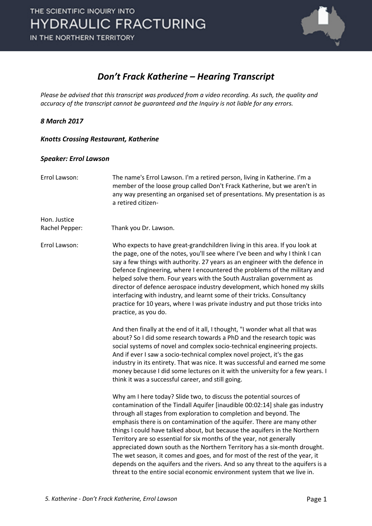

#### *Don't Frack Katherine – Hearing Transcript*

*Please be advised that this transcript was produced from a video recording. As such, the quality and accuracy of the transcript cannot be guaranteed and the Inquiry is not liable for any errors.*

#### *8 March 2017*

#### *Knotts Crossing Restaurant, Katherine*

#### *Speaker: Errol Lawson*

| Errol Lawson:                  | The name's Errol Lawson. I'm a retired person, living in Katherine. I'm a<br>member of the loose group called Don't Frack Katherine, but we aren't in<br>any way presenting an organised set of presentations. My presentation is as<br>a retired citizen-                                                                                                                                                                                                                                                                                                                                                                                                                                                                                                                          |
|--------------------------------|-------------------------------------------------------------------------------------------------------------------------------------------------------------------------------------------------------------------------------------------------------------------------------------------------------------------------------------------------------------------------------------------------------------------------------------------------------------------------------------------------------------------------------------------------------------------------------------------------------------------------------------------------------------------------------------------------------------------------------------------------------------------------------------|
| Hon. Justice<br>Rachel Pepper: | Thank you Dr. Lawson.                                                                                                                                                                                                                                                                                                                                                                                                                                                                                                                                                                                                                                                                                                                                                               |
| Errol Lawson:                  | Who expects to have great-grandchildren living in this area. If you look at<br>the page, one of the notes, you'll see where I've been and why I think I can<br>say a few things with authority. 27 years as an engineer with the defence in<br>Defence Engineering, where I encountered the problems of the military and<br>helped solve them. Four years with the South Australian government as<br>director of defence aerospace industry development, which honed my skills<br>interfacing with industry, and learnt some of their tricks. Consultancy<br>practice for 10 years, where I was private industry and put those tricks into<br>practice, as you do.                                                                                                                  |
|                                | And then finally at the end of it all, I thought, "I wonder what all that was<br>about? So I did some research towards a PhD and the research topic was<br>social systems of novel and complex socio-technical engineering projects.<br>And if ever I saw a socio-technical complex novel project, it's the gas<br>industry in its entirety. That was nice. It was successful and earned me some<br>money because I did some lectures on it with the university for a few years. I<br>think it was a successful career, and still going.                                                                                                                                                                                                                                            |
|                                | Why am I here today? Slide two, to discuss the potential sources of<br>contamination of the Tindall Aquifer [inaudible 00:02:14] shale gas industry<br>through all stages from exploration to completion and beyond. The<br>emphasis there is on contamination of the aquifer. There are many other<br>things I could have talked about, but because the aquifers in the Northern<br>Territory are so essential for six months of the year, not generally<br>appreciated down south as the Northern Territory has a six-month drought.<br>The wet season, it comes and goes, and for most of the rest of the year, it<br>depends on the aquifers and the rivers. And so any threat to the aquifers is a<br>threat to the entire social economic environment system that we live in. |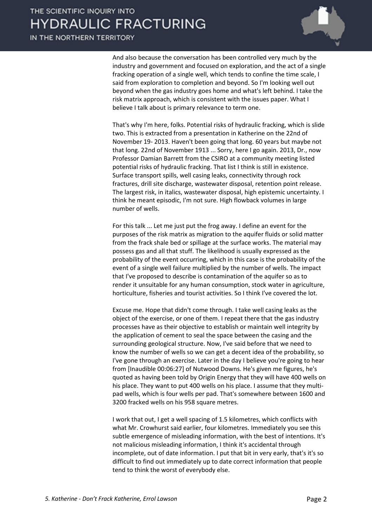IN THE NORTHERN TERRITORY



And also because the conversation has been controlled very much by the industry and government and focused on exploration, and the act of a single fracking operation of a single well, which tends to confine the time scale, I said from exploration to completion and beyond. So I'm looking well out beyond when the gas industry goes home and what's left behind. I take the risk matrix approach, which is consistent with the issues paper. What I believe I talk about is primary relevance to term one.

That's why I'm here, folks. Potential risks of hydraulic fracking, which is slide two. This is extracted from a presentation in Katherine on the 22nd of November 19- 2013. Haven't been going that long. 60 years but maybe not that long. 22nd of November 1913 ... Sorry, here I go again. 2013, Dr., now Professor Damian Barrett from the CSIRO at a community meeting listed potential risks of hydraulic fracking. That list I think is still in existence. Surface transport spills, well casing leaks, connectivity through rock fractures, drill site discharge, wastewater disposal, retention point release. The largest risk, in italics, wastewater disposal, high epistemic uncertainty. I think he meant episodic, I'm not sure. High flowback volumes in large number of wells.

For this talk ... Let me just put the frog away. I define an event for the purposes of the risk matrix as migration to the aquifer fluids or solid matter from the frack shale bed or spillage at the surface works. The material may possess gas and all that stuff. The likelihood is usually expressed as the probability of the event occurring, which in this case is the probability of the event of a single well failure multiplied by the number of wells. The impact that I've proposed to describe is contamination of the aquifer so as to render it unsuitable for any human consumption, stock water in agriculture, horticulture, fisheries and tourist activities. So I think I've covered the lot.

Excuse me. Hope that didn't come through. I take well casing leaks as the object of the exercise, or one of them. I repeat there that the gas industry processes have as their objective to establish or maintain well integrity by the application of cement to seal the space between the casing and the surrounding geological structure. Now, I've said before that we need to know the number of wells so we can get a decent idea of the probability, so I've gone through an exercise. Later in the day I believe you're going to hear from [Inaudible 00:06:27] of Nutwood Downs. He's given me figures, he's quoted as having been told by Origin Energy that they will have 400 wells on his place. They want to put 400 wells on his place. I assume that they multipad wells, which is four wells per pad. That's somewhere between 1600 and 3200 fracked wells on his 958 square metres.

I work that out, I get a well spacing of 1.5 kilometres, which conflicts with what Mr. Crowhurst said earlier, four kilometres. Immediately you see this subtle emergence of misleading information, with the best of intentions. It's not malicious misleading information, I think it's accidental through incomplete, out of date information. I put that bit in very early, that's it's so difficult to find out immediately up to date correct information that people tend to think the worst of everybody else.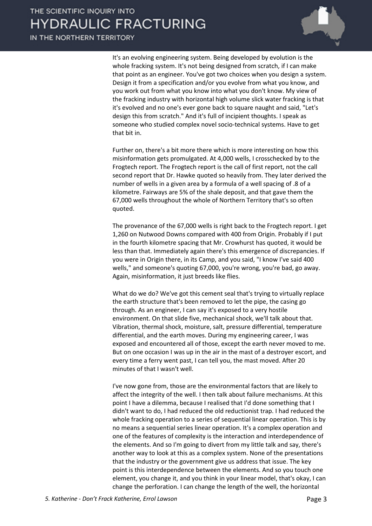IN THE NORTHERN TERRITORY



It's an evolving engineering system. Being developed by evolution is the whole fracking system. It's not being designed from scratch, if I can make that point as an engineer. You've got two choices when you design a system. Design it from a specification and/or you evolve from what you know, and you work out from what you know into what you don't know. My view of the fracking industry with horizontal high volume slick water fracking is that it's evolved and no one's ever gone back to square naught and said, "Let's design this from scratch." And it's full of incipient thoughts. I speak as someone who studied complex novel socio-technical systems. Have to get that bit in.

Further on, there's a bit more there which is more interesting on how this misinformation gets promulgated. At 4,000 wells, I crosschecked by to the Frogtech report. The Frogtech report is the call of first report, not the call second report that Dr. Hawke quoted so heavily from. They later derived the number of wells in a given area by a formula of a well spacing of .8 of a kilometre. Fairways are 5% of the shale deposit, and that gave them the 67,000 wells throughout the whole of Northern Territory that's so often quoted.

The provenance of the 67,000 wells is right back to the Frogtech report. I get 1,260 on Nutwood Downs compared with 400 from Origin. Probably if I put in the fourth kilometre spacing that Mr. Crowhurst has quoted, it would be less than that. Immediately again there's this emergence of discrepancies. If you were in Origin there, in its Camp, and you said, "I know I've said 400 wells," and someone's quoting 67,000, you're wrong, you're bad, go away. Again, misinformation, it just breeds like flies.

What do we do? We've got this cement seal that's trying to virtually replace the earth structure that's been removed to let the pipe, the casing go through. As an engineer, I can say it's exposed to a very hostile environment. On that slide five, mechanical shock, we'll talk about that. Vibration, thermal shock, moisture, salt, pressure differential, temperature differential, and the earth moves. During my engineering career, I was exposed and encountered all of those, except the earth never moved to me. But on one occasion I was up in the air in the mast of a destroyer escort, and every time a ferry went past, I can tell you, the mast moved. After 20 minutes of that I wasn't well.

I've now gone from, those are the environmental factors that are likely to affect the integrity of the well. I then talk about failure mechanisms. At this point I have a dilemma, because I realised that I'd done something that I didn't want to do, I had reduced the old reductionist trap. I had reduced the whole fracking operation to a series of sequential linear operation. This is by no means a sequential series linear operation. It's a complex operation and one of the features of complexity is the interaction and interdependence of the elements. And so I'm going to divert from my little talk and say, there's another way to look at this as a complex system. None of the presentations that the industry or the government give us address that issue. The key point is this interdependence between the elements. And so you touch one element, you change it, and you think in your linear model, that's okay, I can change the perforation. I can change the length of the well, the horizontal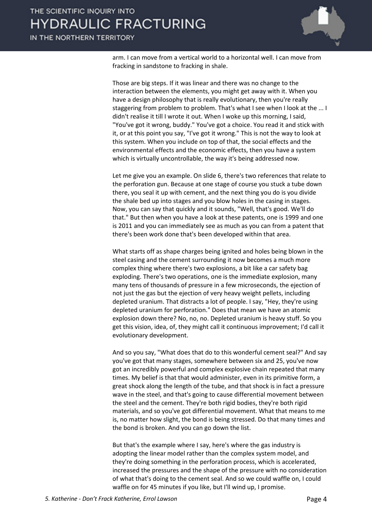IN THE NORTHERN TERRITORY



arm. I can move from a vertical world to a horizontal well. I can move from fracking in sandstone to fracking in shale.

Those are big steps. If it was linear and there was no change to the interaction between the elements, you might get away with it. When you have a design philosophy that is really evolutionary, then you're really staggering from problem to problem. That's what I see when I look at the ... I didn't realise it till I wrote it out. When I woke up this morning, I said, "You've got it wrong, buddy." You've got a choice. You read it and stick with it, or at this point you say, "I've got it wrong." This is not the way to look at this system. When you include on top of that, the social effects and the environmental effects and the economic effects, then you have a system which is virtually uncontrollable, the way it's being addressed now.

Let me give you an example. On slide 6, there's two references that relate to the perforation gun. Because at one stage of course you stuck a tube down there, you seal it up with cement, and the next thing you do is you divide the shale bed up into stages and you blow holes in the casing in stages. Now, you can say that quickly and it sounds, "Well, that's good. We'll do that." But then when you have a look at these patents, one is 1999 and one is 2011 and you can immediately see as much as you can from a patent that there's been work done that's been developed within that area.

What starts off as shape charges being ignited and holes being blown in the steel casing and the cement surrounding it now becomes a much more complex thing where there's two explosions, a bit like a car safety bag exploding. There's two operations, one is the immediate explosion, many many tens of thousands of pressure in a few microseconds, the ejection of not just the gas but the ejection of very heavy weight pellets, including depleted uranium. That distracts a lot of people. I say, "Hey, they're using depleted uranium for perforation." Does that mean we have an atomic explosion down there? No, no, no. Depleted uranium is heavy stuff. So you get this vision, idea, of, they might call it continuous improvement; I'd call it evolutionary development.

And so you say, "What does that do to this wonderful cement seal?" And say you've got that many stages, somewhere between six and 25, you've now got an incredibly powerful and complex explosive chain repeated that many times. My belief is that that would administer, even in its primitive form, a great shock along the length of the tube, and that shock is in fact a pressure wave in the steel, and that's going to cause differential movement between the steel and the cement. They're both rigid bodies, they're both rigid materials, and so you've got differential movement. What that means to me is, no matter how slight, the bond is being stressed. Do that many times and the bond is broken. And you can go down the list.

But that's the example where I say, here's where the gas industry is adopting the linear model rather than the complex system model, and they're doing something in the perforation process, which is accelerated, increased the pressures and the shape of the pressure with no consideration of what that's doing to the cement seal. And so we could waffle on, I could waffle on for 45 minutes if you like, but I'll wind up, I promise.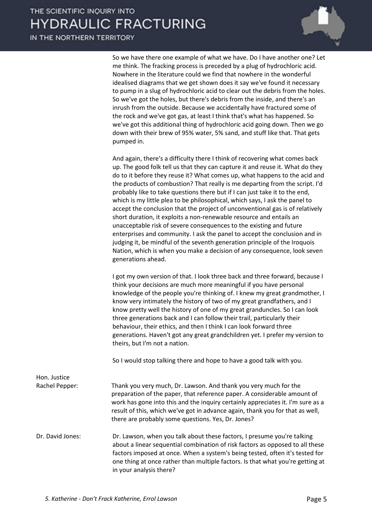IN THE NORTHERN TERRITORY



So we have there one example of what we have. Do I have another one? Let me think. The fracking process is preceded by a plug of hydrochloric acid. Nowhere in the literature could we find that nowhere in the wonderful idealised diagrams that we get shown does it say we've found it necessary to pump in a slug of hydrochloric acid to clear out the debris from the holes. So we've got the holes, but there's debris from the inside, and there's an inrush from the outside. Because we accidentally have fractured some of the rock and we've got gas, at least I think that's what has happened. So we've got this additional thing of hydrochloric acid going down. Then we go down with their brew of 95% water, 5% sand, and stuff like that. That gets pumped in.

And again, there's a difficulty there I think of recovering what comes back up. The good folk tell us that they can capture it and reuse it. What do they do to it before they reuse it? What comes up, what happens to the acid and the products of combustion? That really is me departing from the script. I'd probably like to take questions there but if I can just take it to the end, which is my little plea to be philosophical, which says, I ask the panel to accept the conclusion that the project of unconventional gas is of relatively short duration, it exploits a non-renewable resource and entails an unacceptable risk of severe consequences to the existing and future enterprises and community. I ask the panel to accept the conclusion and in judging it, be mindful of the seventh generation principle of the Iroquois Nation, which is when you make a decision of any consequence, look seven generations ahead.

I got my own version of that. I look three back and three forward, because I think your decisions are much more meaningful if you have personal knowledge of the people you're thinking of. I knew my great grandmother, I know very intimately the history of two of my great grandfathers, and I know pretty well the history of one of my great granduncles. So I can look three generations back and I can follow their trail, particularly their behaviour, their ethics, and then I think I can look forward three generations. Haven't got any great grandchildren yet. I prefer my version to theirs, but I'm not a nation.

So I would stop talking there and hope to have a good talk with you.

Hon. Justice Rachel Pepper: Thank you very much, Dr. Lawson. And thank you very much for the preparation of the paper, that reference paper. A considerable amount of work has gone into this and the inquiry certainly appreciates it. I'm sure as a result of this, which we've got in advance again, thank you for that as well, there are probably some questions. Yes, Dr. Jones? Dr. David Jones: Dr. Lawson, when you talk about these factors, I presume you're talking about a linear sequential combination of risk factors as opposed to all these factors imposed at once. When a system's being tested, often it's tested for one thing at once rather than multiple factors. Is that what you're getting at in your analysis there?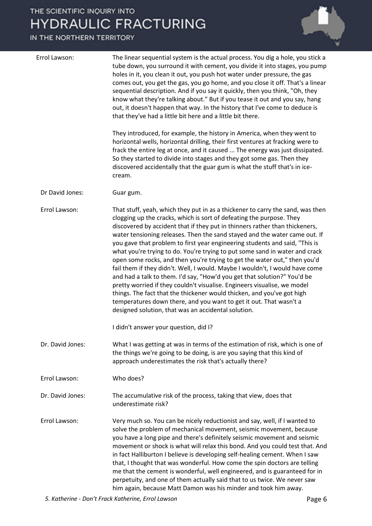| Errol Lawson:    | The linear sequential system is the actual process. You dig a hole, you stick a<br>tube down, you surround it with cement, you divide it into stages, you pump<br>holes in it, you clean it out, you push hot water under pressure, the gas<br>comes out, you get the gas, you go home, and you close it off. That's a linear<br>sequential description. And if you say it quickly, then you think, "Oh, they<br>know what they're talking about." But if you tease it out and you say, hang<br>out, it doesn't happen that way. In the history that I've come to deduce is<br>that they've had a little bit here and a little bit there.                                                                                                                                                                                                                                                                                                                                                                     |
|------------------|---------------------------------------------------------------------------------------------------------------------------------------------------------------------------------------------------------------------------------------------------------------------------------------------------------------------------------------------------------------------------------------------------------------------------------------------------------------------------------------------------------------------------------------------------------------------------------------------------------------------------------------------------------------------------------------------------------------------------------------------------------------------------------------------------------------------------------------------------------------------------------------------------------------------------------------------------------------------------------------------------------------|
|                  | They introduced, for example, the history in America, when they went to<br>horizontal wells, horizontal drilling, their first ventures at fracking were to<br>frack the entire leg at once, and it caused  The energy was just dissipated.<br>So they started to divide into stages and they got some gas. Then they<br>discovered accidentally that the guar gum is what the stuff that's in ice-<br>cream.                                                                                                                                                                                                                                                                                                                                                                                                                                                                                                                                                                                                  |
| Dr David Jones:  | Guar gum.                                                                                                                                                                                                                                                                                                                                                                                                                                                                                                                                                                                                                                                                                                                                                                                                                                                                                                                                                                                                     |
| Errol Lawson:    | That stuff, yeah, which they put in as a thickener to carry the sand, was then<br>clogging up the cracks, which is sort of defeating the purpose. They<br>discovered by accident that if they put in thinners rather than thickeners,<br>water tensioning releases. Then the sand stayed and the water came out. If<br>you gave that problem to first year engineering students and said, "This is<br>what you're trying to do. You're trying to put some sand in water and crack<br>open some rocks, and then you're trying to get the water out," then you'd<br>fail them if they didn't. Well, I would. Maybe I wouldn't, I would have come<br>and had a talk to them. I'd say, "How'd you get that solution?" You'd be<br>pretty worried if they couldn't visualise. Engineers visualise, we model<br>things. The fact that the thickener would thicken, and you've got high<br>temperatures down there, and you want to get it out. That wasn't a<br>designed solution, that was an accidental solution. |
|                  | I didn't answer your question, did I?                                                                                                                                                                                                                                                                                                                                                                                                                                                                                                                                                                                                                                                                                                                                                                                                                                                                                                                                                                         |
| Dr. David Jones: | What I was getting at was in terms of the estimation of risk, which is one of<br>the things we're going to be doing, is are you saying that this kind of<br>approach underestimates the risk that's actually there?                                                                                                                                                                                                                                                                                                                                                                                                                                                                                                                                                                                                                                                                                                                                                                                           |
| Errol Lawson:    | Who does?                                                                                                                                                                                                                                                                                                                                                                                                                                                                                                                                                                                                                                                                                                                                                                                                                                                                                                                                                                                                     |
| Dr. David Jones: | The accumulative risk of the process, taking that view, does that<br>underestimate risk?                                                                                                                                                                                                                                                                                                                                                                                                                                                                                                                                                                                                                                                                                                                                                                                                                                                                                                                      |
| Errol Lawson:    | Very much so. You can be nicely reductionist and say, well, if I wanted to<br>solve the problem of mechanical movement, seismic movement, because<br>you have a long pipe and there's definitely seismic movement and seismic<br>movement or shock is what will relax this bond. And you could test that. And<br>in fact Halliburton I believe is developing self-healing cement. When I saw<br>that, I thought that was wonderful. How come the spin doctors are telling<br>me that the cement is wonderful, well engineered, and is guaranteed for in<br>perpetuity, and one of them actually said that to us twice. We never saw<br>him again, because Matt Damon was his minder and took him away.                                                                                                                                                                                                                                                                                                        |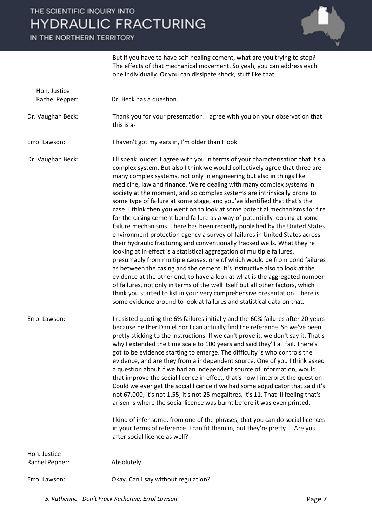IN THE NORTHERN TERRITORY



But if you have to have self-healing cement, what are you trying to stop? The effects of that mechanical movement. So yeah, you can address each one individually. Or you can dissipate shock, stuff like that.

| Hon. Justice<br>Rachel Pepper: | Dr. Beck has a question.                                                                                                                                                                                                                                                                                                                                                                                                                                                                                                                                                                                                                                                                                                                                                                                                                                                                                                                                                                                                                                                                                                                                                                                                                                                                                                                                                                                                                            |
|--------------------------------|-----------------------------------------------------------------------------------------------------------------------------------------------------------------------------------------------------------------------------------------------------------------------------------------------------------------------------------------------------------------------------------------------------------------------------------------------------------------------------------------------------------------------------------------------------------------------------------------------------------------------------------------------------------------------------------------------------------------------------------------------------------------------------------------------------------------------------------------------------------------------------------------------------------------------------------------------------------------------------------------------------------------------------------------------------------------------------------------------------------------------------------------------------------------------------------------------------------------------------------------------------------------------------------------------------------------------------------------------------------------------------------------------------------------------------------------------------|
| Dr. Vaughan Beck:              | Thank you for your presentation. I agree with you on your observation that<br>this is a-                                                                                                                                                                                                                                                                                                                                                                                                                                                                                                                                                                                                                                                                                                                                                                                                                                                                                                                                                                                                                                                                                                                                                                                                                                                                                                                                                            |
| Errol Lawson:                  | I haven't got my ears in, I'm older than I look.                                                                                                                                                                                                                                                                                                                                                                                                                                                                                                                                                                                                                                                                                                                                                                                                                                                                                                                                                                                                                                                                                                                                                                                                                                                                                                                                                                                                    |
| Dr. Vaughan Beck:              | I'll speak louder. I agree with you in terms of your characterisation that it's a<br>complex system. But also I think we would collectively agree that three are<br>many complex systems, not only in engineering but also in things like<br>medicine, law and finance. We're dealing with many complex systems in<br>society at the moment, and so complex systems are intrinsically prone to<br>some type of failure at some stage, and you've identified that that's the<br>case. I think then you went on to look at some potential mechanisms for fire<br>for the casing cement bond failure as a way of potentially looking at some<br>failure mechanisms. There has been recently published by the United States<br>environment protection agency a survey of failures in United States across<br>their hydraulic fracturing and conventionally fracked wells. What they're<br>looking at in effect is a statistical aggregation of multiple failures,<br>presumably from multiple causes, one of which would be from bond failures<br>as between the casing and the cement. It's instructive also to look at the<br>evidence at the other end, to have a look at what is the aggregated number<br>of failures, not only in terms of the well itself but all other factors, which I<br>think you started to list in your very comprehensive presentation. There is<br>some evidence around to look at failures and statistical data on that. |
| Errol Lawson:                  | I resisted quoting the 6% failures initially and the 60% failures after 20 years<br>because neither Daniel nor I can actually find the reference. So we've been<br>pretty sticking to the instructions. If we can't prove it, we don't say it. That's<br>why I extended the time scale to 100 years and said they'll all fail. There's<br>got to be evidence starting to emerge. The difficulty is who controls the<br>evidence, and are they from a independent source. One of you I think asked<br>a question about if we had an independent source of information, would<br>that improve the social licence in effect, that's how I interpret the question.<br>Could we ever get the social licence if we had some adjudicator that said it's<br>not 67,000, it's not 1.55, it's not 25 megalitres, it's 11. That ill feeling that's<br>arisen is where the social licence was burnt before it was even printed.<br>I kind of infer some, from one of the phrases, that you can do social licences<br>in your terms of reference. I can fit them in, but they're pretty  Are you<br>after social licence as well?                                                                                                                                                                                                                                                                                                                                |
| Hon. Justice                   |                                                                                                                                                                                                                                                                                                                                                                                                                                                                                                                                                                                                                                                                                                                                                                                                                                                                                                                                                                                                                                                                                                                                                                                                                                                                                                                                                                                                                                                     |
| Rachel Pepper:                 | Absolutely.                                                                                                                                                                                                                                                                                                                                                                                                                                                                                                                                                                                                                                                                                                                                                                                                                                                                                                                                                                                                                                                                                                                                                                                                                                                                                                                                                                                                                                         |
| Errol Lawson:                  | Okay. Can I say without regulation?                                                                                                                                                                                                                                                                                                                                                                                                                                                                                                                                                                                                                                                                                                                                                                                                                                                                                                                                                                                                                                                                                                                                                                                                                                                                                                                                                                                                                 |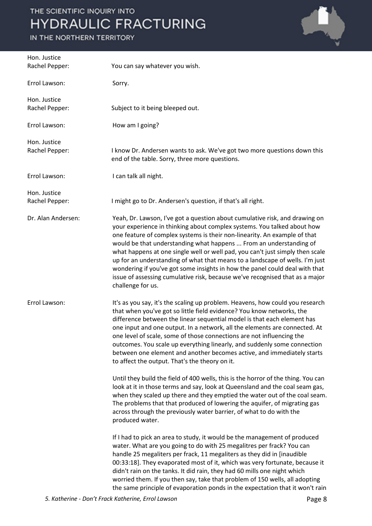

| Hon. Justice<br>Rachel Pepper: | You can say whatever you wish.                                                                                                                                                                                                                                                                                                                                                                                                                                                                                                                                                                                                                                                                                                                                                                                                                                                                                                                                                                                                                                                                                                                                                                                                                                                                                                                                                                                                                                                                                                                                                         |
|--------------------------------|----------------------------------------------------------------------------------------------------------------------------------------------------------------------------------------------------------------------------------------------------------------------------------------------------------------------------------------------------------------------------------------------------------------------------------------------------------------------------------------------------------------------------------------------------------------------------------------------------------------------------------------------------------------------------------------------------------------------------------------------------------------------------------------------------------------------------------------------------------------------------------------------------------------------------------------------------------------------------------------------------------------------------------------------------------------------------------------------------------------------------------------------------------------------------------------------------------------------------------------------------------------------------------------------------------------------------------------------------------------------------------------------------------------------------------------------------------------------------------------------------------------------------------------------------------------------------------------|
| Errol Lawson:                  | Sorry.                                                                                                                                                                                                                                                                                                                                                                                                                                                                                                                                                                                                                                                                                                                                                                                                                                                                                                                                                                                                                                                                                                                                                                                                                                                                                                                                                                                                                                                                                                                                                                                 |
| Hon. Justice<br>Rachel Pepper: | Subject to it being bleeped out.                                                                                                                                                                                                                                                                                                                                                                                                                                                                                                                                                                                                                                                                                                                                                                                                                                                                                                                                                                                                                                                                                                                                                                                                                                                                                                                                                                                                                                                                                                                                                       |
| Errol Lawson:                  | How am I going?                                                                                                                                                                                                                                                                                                                                                                                                                                                                                                                                                                                                                                                                                                                                                                                                                                                                                                                                                                                                                                                                                                                                                                                                                                                                                                                                                                                                                                                                                                                                                                        |
| Hon. Justice<br>Rachel Pepper: | I know Dr. Andersen wants to ask. We've got two more questions down this<br>end of the table. Sorry, three more questions.                                                                                                                                                                                                                                                                                                                                                                                                                                                                                                                                                                                                                                                                                                                                                                                                                                                                                                                                                                                                                                                                                                                                                                                                                                                                                                                                                                                                                                                             |
| Errol Lawson:                  | I can talk all night.                                                                                                                                                                                                                                                                                                                                                                                                                                                                                                                                                                                                                                                                                                                                                                                                                                                                                                                                                                                                                                                                                                                                                                                                                                                                                                                                                                                                                                                                                                                                                                  |
| Hon. Justice<br>Rachel Pepper: | I might go to Dr. Andersen's question, if that's all right.                                                                                                                                                                                                                                                                                                                                                                                                                                                                                                                                                                                                                                                                                                                                                                                                                                                                                                                                                                                                                                                                                                                                                                                                                                                                                                                                                                                                                                                                                                                            |
| Dr. Alan Andersen:             | Yeah, Dr. Lawson, I've got a question about cumulative risk, and drawing on<br>your experience in thinking about complex systems. You talked about how<br>one feature of complex systems is their non-linearity. An example of that<br>would be that understanding what happens  From an understanding of<br>what happens at one single well or well pad, you can't just simply then scale<br>up for an understanding of what that means to a landscape of wells. I'm just<br>wondering if you've got some insights in how the panel could deal with that<br>issue of assessing cumulative risk, because we've recognised that as a major<br>challenge for us.                                                                                                                                                                                                                                                                                                                                                                                                                                                                                                                                                                                                                                                                                                                                                                                                                                                                                                                         |
| Errol Lawson:                  | It's as you say, it's the scaling up problem. Heavens, how could you research<br>that when you've got so little field evidence? You know networks, the<br>difference between the linear sequential model is that each element has<br>one input and one output. In a network, all the elements are connected. At<br>one level of scale, some of those connections are not influencing the<br>outcomes. You scale up everything linearly, and suddenly some connection<br>between one element and another becomes active, and immediately starts<br>to affect the output. That's the theory on it.<br>Until they build the field of 400 wells, this is the horror of the thing. You can<br>look at it in those terms and say, look at Queensland and the coal seam gas,<br>when they scaled up there and they emptied the water out of the coal seam.<br>The problems that that produced of lowering the aquifer, of migrating gas<br>across through the previously water barrier, of what to do with the<br>produced water.<br>If I had to pick an area to study, it would be the management of produced<br>water. What are you going to do with 25 megalitres per frack? You can<br>handle 25 megaliters per frack, 11 megaliters as they did in [inaudible<br>00:33:18]. They evaporated most of it, which was very fortunate, because it<br>didn't rain on the tanks. It did rain, they had 60 mills one night which<br>worried them. If you then say, take that problem of 150 wells, all adopting<br>the same principle of evaporation ponds in the expectation that it won't rain |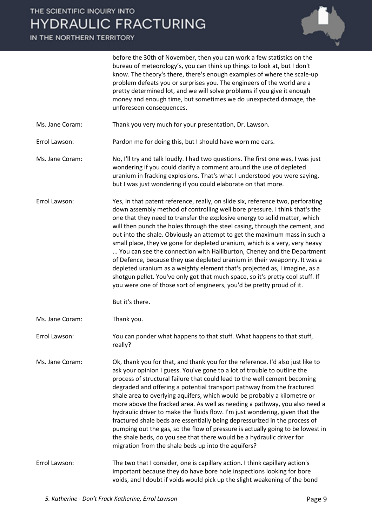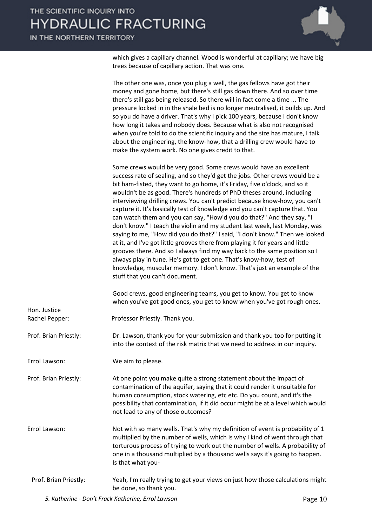IN THE NORTHERN TERRITORY



which gives a capillary channel. Wood is wonderful at capillary; we have big trees because of capillary action. That was one.

|                                | The other one was, once you plug a well, the gas fellows have got their<br>money and gone home, but there's still gas down there. And so over time<br>there's still gas being released. So there will in fact come a time  The<br>pressure locked in in the shale bed is no longer neutralised, it builds up. And<br>so you do have a driver. That's why I pick 100 years, because I don't know<br>how long it takes and nobody does. Because what is also not recognised<br>when you're told to do the scientific inquiry and the size has mature, I talk<br>about the engineering, the know-how, that a drilling crew would have to<br>make the system work. No one gives credit to that.                                                                                                                                                                                                                                                                                                                                                                  |
|--------------------------------|--------------------------------------------------------------------------------------------------------------------------------------------------------------------------------------------------------------------------------------------------------------------------------------------------------------------------------------------------------------------------------------------------------------------------------------------------------------------------------------------------------------------------------------------------------------------------------------------------------------------------------------------------------------------------------------------------------------------------------------------------------------------------------------------------------------------------------------------------------------------------------------------------------------------------------------------------------------------------------------------------------------------------------------------------------------|
|                                | Some crews would be very good. Some crews would have an excellent<br>success rate of sealing, and so they'd get the jobs. Other crews would be a<br>bit ham-fisted, they want to go home, it's Friday, five o'clock, and so it<br>wouldn't be as good. There's hundreds of PhD theses around, including<br>interviewing drilling crews. You can't predict because know-how, you can't<br>capture it. It's basically test of knowledge and you can't capture that. You<br>can watch them and you can say, "How'd you do that?" And they say, "I<br>don't know." I teach the violin and my student last week, last Monday, was<br>saying to me, "How did you do that?" I said, "I don't know." Then we looked<br>at it, and I've got little grooves there from playing it for years and little<br>grooves there. And so I always find my way back to the same position so I<br>always play in tune. He's got to get one. That's know-how, test of<br>knowledge, muscular memory. I don't know. That's just an example of the<br>stuff that you can't document. |
|                                | Good crews, good engineering teams, you get to know. You get to know<br>when you've got good ones, you get to know when you've got rough ones.                                                                                                                                                                                                                                                                                                                                                                                                                                                                                                                                                                                                                                                                                                                                                                                                                                                                                                               |
| Hon. Justice<br>Rachel Pepper: | Professor Priestly. Thank you.                                                                                                                                                                                                                                                                                                                                                                                                                                                                                                                                                                                                                                                                                                                                                                                                                                                                                                                                                                                                                               |
| Prof. Brian Priestly:          | Dr. Lawson, thank you for your submission and thank you too for putting it<br>into the context of the risk matrix that we need to address in our inquiry.                                                                                                                                                                                                                                                                                                                                                                                                                                                                                                                                                                                                                                                                                                                                                                                                                                                                                                    |
| Errol Lawson:                  | We aim to please.                                                                                                                                                                                                                                                                                                                                                                                                                                                                                                                                                                                                                                                                                                                                                                                                                                                                                                                                                                                                                                            |
| Prof. Brian Priestly:          | At one point you make quite a strong statement about the impact of<br>contamination of the aquifer, saying that it could render it unsuitable for<br>human consumption, stock watering, etc etc. Do you count, and it's the<br>possibility that contamination, if it did occur might be at a level which would<br>not lead to any of those outcomes?                                                                                                                                                                                                                                                                                                                                                                                                                                                                                                                                                                                                                                                                                                         |
| Errol Lawson:                  | Not with so many wells. That's why my definition of event is probability of 1<br>multiplied by the number of wells, which is why I kind of went through that<br>torturous process of trying to work out the number of wells. A probability of<br>one in a thousand multiplied by a thousand wells says it's going to happen.<br>Is that what you-                                                                                                                                                                                                                                                                                                                                                                                                                                                                                                                                                                                                                                                                                                            |
| Prof. Brian Priestly:          | Yeah, I'm really trying to get your views on just how those calculations might<br>be done, so thank you.                                                                                                                                                                                                                                                                                                                                                                                                                                                                                                                                                                                                                                                                                                                                                                                                                                                                                                                                                     |